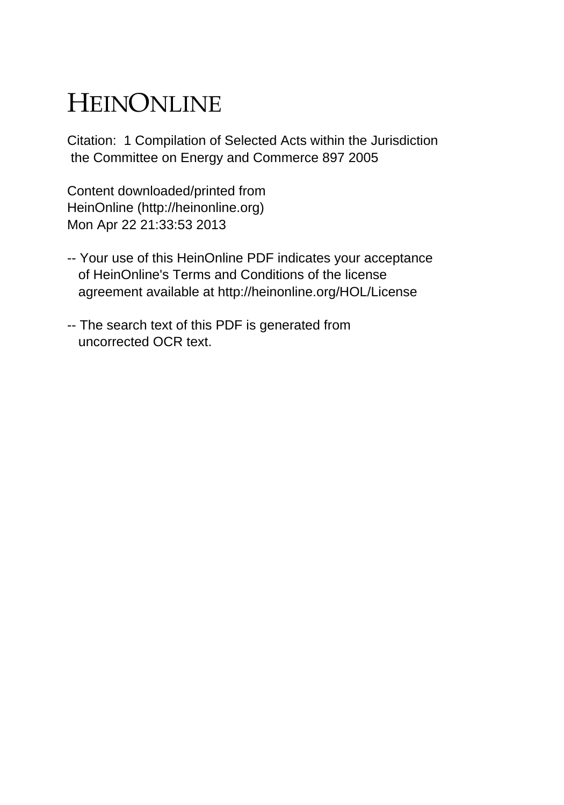# HEINONLINE

Citation: 1 Compilation of Selected Acts within the Jurisdiction the Committee on Energy and Commerce 897 2005

Content downloaded/printed from HeinOnline (http://heinonline.org) Mon Apr 22 21:33:53 2013

- -- Your use of this HeinOnline PDF indicates your acceptance of HeinOnline's Terms and Conditions of the license agreement available at http://heinonline.org/HOL/License
- -- The search text of this PDF is generated from uncorrected OCR text.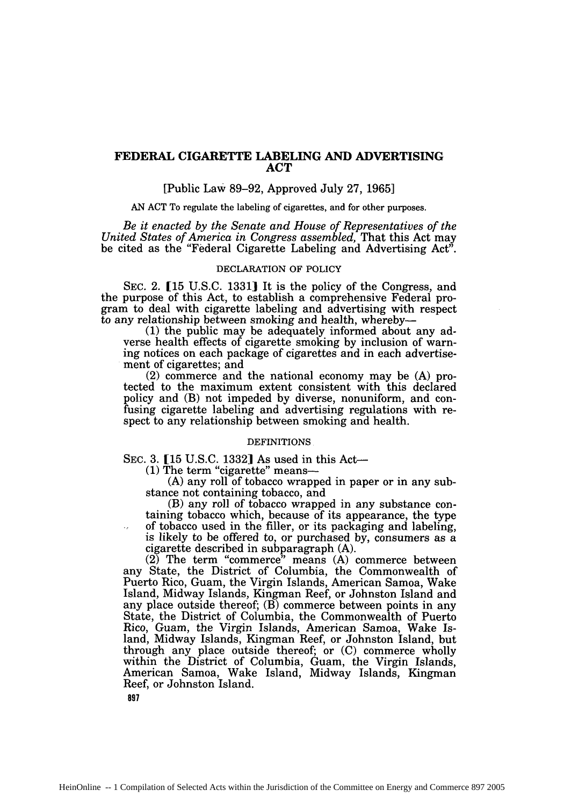## **FEDERAL CIGARETTE LABELING AND ADVERTISING ACT**

## [Public Law 89-92, Approved July 27, 1965]

**AN ACT** To regulate the labeling of cigarettes, and for other purposes.

*Be it enacted by the Senate and House of Representatives of the United States of America in Congress assembled,* That this Act may be cited as the "Federal Cigarette Labeling and Advertising Act".

## DECLARATION OF POLICY

SEC. 2. [15 U.S.C. 1331] It is the policy of the Congress, and the purpose of this Act, to establish a comprehensive Federal program to deal with cigarette labeling and advertising with respect to any relationship between smoking and health, whereby-

(1) the public may be adequately informed about any adverse health effects of cigarette smoking by inclusion of warning notices on each package of cigarettes and in each advertisement of cigarettes; and

(2) commerce and the national economy may be (A) protected to the maximum extent consistent with this declared policy and (B) not impeded by diverse, nonuniform, and confusing cigarette labeling and advertising regulations with respect to any relationship between smoking and health.

## **DEFINITIONS**

SEC. 3. [15 U.S.C. 1332] As used in this Act-

(1) The term "cigarette" means-

(A) any roll of tobacco wrapped in paper or in any substance not containing tobacco, and

(B) any roll of tobacco wrapped in any substance containing tobacco which, because of its appearance, the type of tobacco used in the filler, or its packaging and labeling, is likely to be offered to, or purchased by, consumers as a cigarette described in subparagraph (A).

(2) The term "commerce" means (A) commerce between any State, the District of Columbia, the Commonwealth of Puerto Rico, Guam, the Virgin Islands, American Samoa, Wake Island, Midway Islands, Kingman Reef, or Johnston Island and any place outside thereof;  $(\overrightarrow{B})$  commerce between points in any State, the District of Columbia, the Commonwealth of Puerto Rico, Guam, the Virgin Islands, American Samoa, Wake Island, Midway Islands, Kingman Reef, or Johnston Island, but through any place outside thereof; or (C) commerce wholly within the District of Columbia, Guam, the Virgin Islands, American Samoa, Wake Island, Midway Islands, Kingman Reef, or Johnston Island.

**897**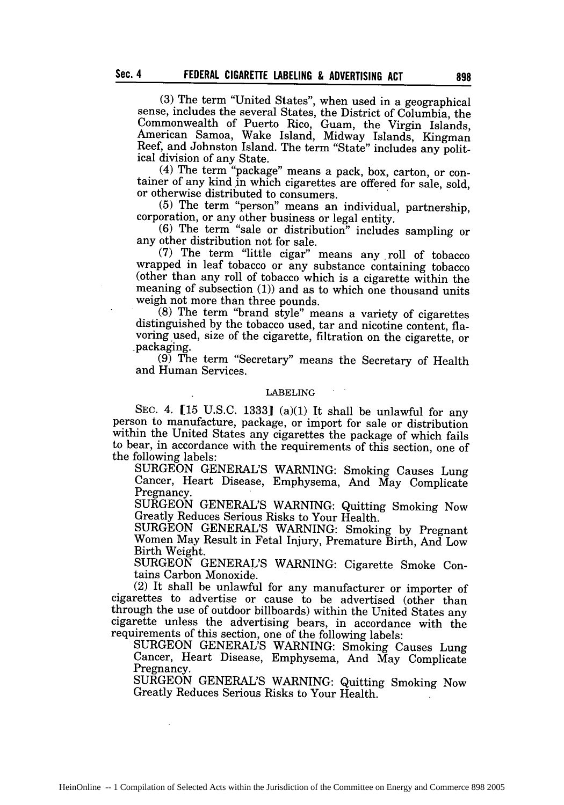(3) The term "United States", when used in a geographical sense, includes the several States, the District of Columbia, the Commonwealth of Puerto Rico, Guam, the Virgin Islands. American Samoa, Wake Island, Midway Islands, Kingman Reef, and Johnston Island. The term "State" includes any political division of any State.

(4) The term "package" means a pack, box, carton, or container of any kind in which cigarettes are offered for sale, sold, or otherwise distributed to consumers.<br>(5) The term "person" means an individual, partnership.

corporation, or any other business or legal entity.<br>(6) The term "sale or distribution" includes sampling or

any other distribution not for sale.

(7) The term "little cigar" means any roll of tobacco wrapped in leaf tobacco or any substance containing tobacco (other than any roll of tobacco which is a cigarette within the meaning of subsection (1)) and as to which one thousand units weigh not more than three pounds.

 $(8)$  The term "brand style" means a variety of cigarettes distinguished by the tobacco used, tar and nicotine content, flavoring used, size of the cigarette, filtration on the cigarette, or packaging.

 $(9)$  The term "Secretary" means the Secretary of Health and Human Services.

#### LABELING

SEC. 4. [15 U.S.C. 1333] (a)(1) It shall be unlawful for any person to manufacture, package, or import for sale or distribution within the United States any cigarettes the package of which fails to bear, in accordance with the requirements of this section, one of the following labels:

SURGEON GENERAL'S WARNING: Smoking Causes Lung Cancer, Heart Disease, Emphysema, And May Complicate Pregnancy.

SURGEON GENERAL'S WARNING: Quitting Smoking Now Greatly Reduces Serious Risks to Your Health.

SURGEON GENERAL'S WARNING: Smoking by Pregnant Women May Result in Fetal Injury, Premature Birth, And Low Birth Weight.

SURGEON GENERAL'S WARNING: Cigarette Smoke Contains Carbon Monoxide.

(2) It shall be unlawful for any manufacturer or importer of cigarettes to advertise or cause to be advertised (other than through the use of outdoor billboards) within the United States any cigarette unless the advertising bears, in accordance with the requirements of this section, one of the following labels:

SURGEON GENERAL'S WARNING: Smoking Causes Lung Cancer, Heart Disease, Emphysema, And May Complicate Pregnancy.

SURGEON GENERAL'S WARNING: Quitting Smoking Now Greatly Reduces Serious Risks to Your Health.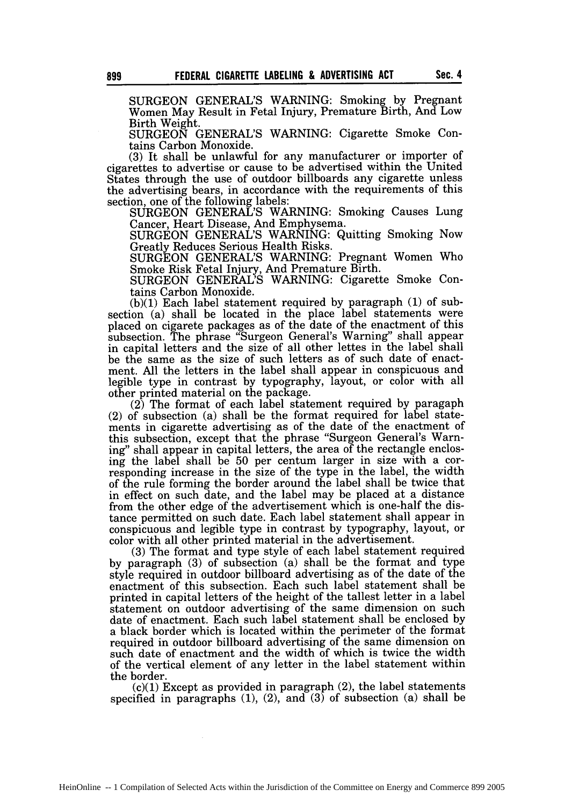SURGEON GENERAL'S WARNING: Smoking by Pregnant Women May Result in Fetal Injury, Premature Birth, And Low Birth Weight.

SURGEON GENERAL'S WARNING: Cigarette Smoke Contains Carbon Monoxide.

(3) It shall be unlawful for any manufacturer or importer of cigarettes to advertise or cause to be advertised within the United States through the use of outdoor billboards any cigarette unless the advertising bears, in accordance with the requirements of this section, one of the following labels:

SURGEON GENERAL'S WARNING: Smoking Causes Lung Cancer, Heart Disease, And Emphysema.

SURGEON GENERAL'S WARNING: Quitting Smoking Now Greatly Reduces Serious Health Risks.

SURGEON GENERAL'S WARNING: Pregnant Women Who Smoke Risk Fetal Injury, And Premature Birth.

SURGEON GENERAL'S WARNING: Cigarette Smoke Contains Carbon Monoxide.

(b)(1) Each label statement required by paragraph (1) of subsection (a) shall be located in the place label statements were placed on cigarete packages as of the date of the enactment of this subsection. The phrase "Surgeon General's Warning" shall appear in capital letters and the size of all other lettes in the label shall be the same as the size of such letters as of such date of enactment. All the letters in the label shall appear in conspicuous and legible type in contrast by typography, layout, or color with all other printed material on the package.

(2) The format of each label statement required by paragaph (2) of subsection (a) shall be the format required for label statements in cigarette advertising as of the date of the enactment of this subsection, except that the phrase "Surgeon General's Warning" shall appear in capital letters, the area of the rectangle enclosing the label shall be 50 per centum larger in size with a corresponding increase in the size of the type in the label, the width of the rule forming the border around the label shall be twice that in effect on such date, and the label may be placed at a distance from the other edge of the advertisement which is one-half the distance permitted on such date. Each label statement shall appear in conspicuous and legible type in contrast by typography, layout, or color with all other printed material in the advertisement.

(3) The format and type style of each label statement required by paragraph (3) of subsection (a) shall be the format and type style required in outdoor billboard advertising as of the date of the enactment of this subsection. Each such label statement shall be printed in capital letters of the height of the tallest letter in a label statement on outdoor advertising of the same dimension on such date of enactment. Each such label statement shall be enclosed by a black border which is located within the perimeter of the format required in outdoor billboard advertising of the same dimension on such date of enactment and the width of which is twice the width of the vertical element of any letter in the label statement within the border.

 $(c)(1)$  Except as provided in paragraph  $(2)$ , the label statements specified in paragraphs (1), (2), and (3) of subsection (a) shall be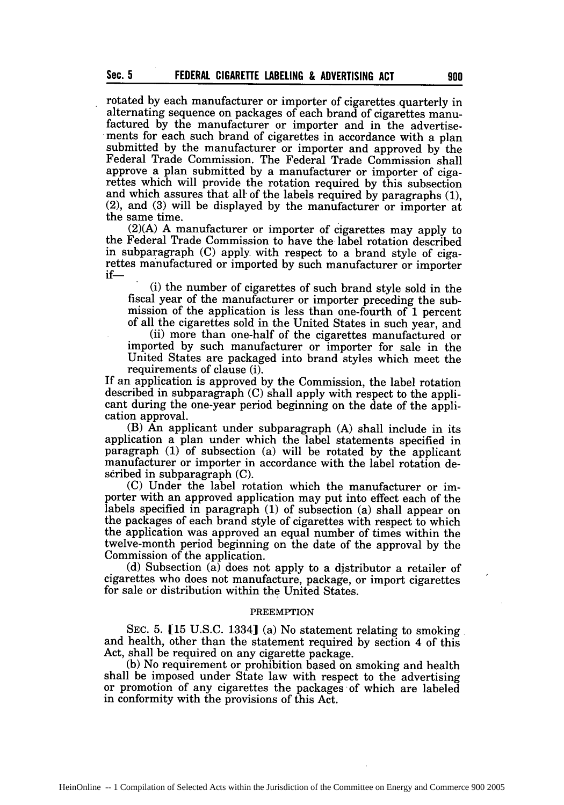**Sec. 5**

rotated **by** each manufacturer or importer of cigarettes quarterly in alternating sequence on packages of each brand of cigarettes manufactured by the manufacturer or importer and in the advertisements for each such brand of cigarettes in accordance with a plan submitted by the manufacturer or importer and approved by the Federal Trade Commission. The Federal Trade Commission shall approve a plan submitted by a manufacturer or importer of cigarettes which will provide the rotation required by this subsection and which assures that all of the labels required by paragraphs (1).  $(2)$ , and  $(3)$  will be displayed by the manufacturer or importer at the same time.

(2)(A) A manufacturer or importer of cigarettes may apply to the Federal Trade Commission to have the label rotation described in subparagraph (C) apply. with respect to a brand style of cigarettes manufactured or imported by such manufacturer or importer if-

(i) the number of cigarettes of such brand style sold in the fiscal year of the manufacturer or importer preceding the submission of the application is less than one-fourth of 1 percent of all the cigarettes sold in the United States in such year, and

(ii) more than one-half of the cigarettes manufactured or imported by such manufacturer or importer for sale in the United States are packaged into brand styles which meet the requirements of clause (i).

If an application is approved by the Commission, the label rotation described in subparagraph (C) shall apply with respect to the applicant during the one-year period beginning on the date of the application approval.

(B) An applicant under subparagraph (A) shall include in its application a plan under which the label statements specified in paragraph (1) of subsection (a) will be rotated by the applicant manufacturer or importer in accordance with the label rotation described in subparagraph (C).

(C) Under the label rotation which the manufacturer or importer with an approved application may put into effect each of the labels specified in paragraph (1) of subsection (a) shall appear on the packages of each brand style of cigarettes with respect to which the application was approved an equal number of times within the twelve-month period beginning on the date of the approval by the Commission of the application.

(d) Subsection (a) does not apply to a distributor a retailer of cigarettes who does not manufacture, package, or import cigarettes for sale or distribution within the United States.

#### PREEMPTION

SEC. 5. **[15** U.S.C. 1334] (a) No statement relating to smoking and health, other than the statement required by section 4 of this Act, shall be required on any cigarette package.

(b) No requirement or prohibition based on smoking and health shall be imposed under State law with respect to the advertising or promotion of any cigarettes the packages of which are labeled in conformity with the provisions of this Act.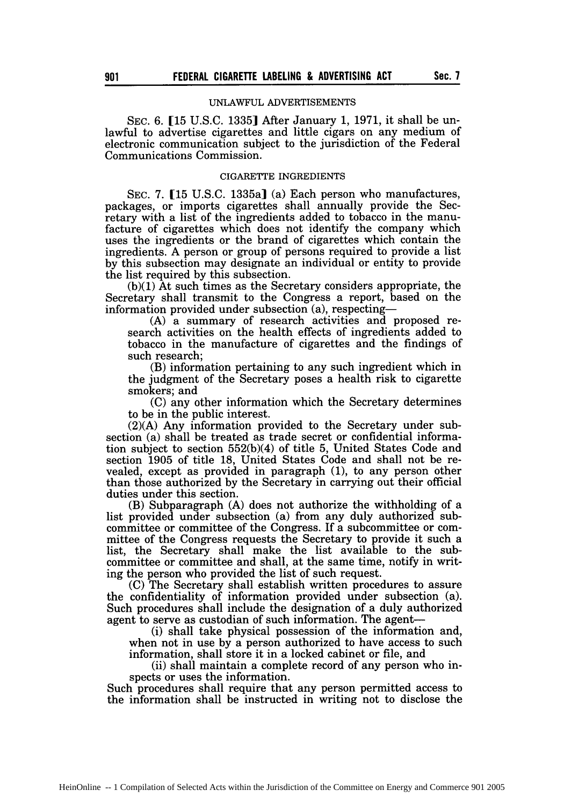## UNLAWFUL ADVERTISEMENTS

SEC. 6. **[15** U.S.C. 13351 After January 1, 1971, it shall be unlawful to advertise cigarettes and little cigars on any medium of electronic communication subject to the jurisdiction of the Federal Communications Commission.

#### CIGARETTE INGREDIENTS

SEC. 7. [15 U.S.C. 1335a] (a) Each person who manufactures, packages, or imports cigarettes shall annually provide the Secretary with a list of the ingredients added to tobacco in the manufacture of cigarettes which does not identify the company which uses the ingredients or the brand of cigarettes which contain the ingredients. A person or group of persons required to provide a list by this subsection may designate an individual or entity to provide the list required by this subsection.

(b)(1) At such times as the Secretary considers appropriate, the Secretary shall transmit to the Congress a report, based on the information provided under subsection (a), respecting-

(A) a summary of research activities and proposed research activities on the health effects of ingredients added to tobacco in the manufacture of cigarettes and the findings of such research;

(B) information pertaining to any such ingredient which in the judgment of the Secretary poses a health risk to cigarette smokers; and

(C) any other information which the Secretary determines to be in the public interest.

(2)(A) Any information provided to the Secretary under subsection (a) shall be treated as trade secret or confidential information subject to section 552(b)(4) of title 5, United States Code and section 1905 of title 18, United States Code and shall not be revealed, except as provided in paragraph (1), to any person other than those authorized by the Secretary in carrying out their official duties under this section.

(B) Subparagraph (A) does not authorize the withholding of a list provided under subsection (a) from any duly authorized subcommittee or committee of the Congress. If a subcommittee or committee of the Congress requests the Secretary to provide it such a list, the Secretary shall make the list available to the subcommittee or committee and shall, at the same time, notify in writing the person who provided the list of such request.

(C) The Secretary shall establish written procedures to assure the confidentiality of information provided under subsection (a). Such procedures shall include the designation of a duly authorized agent to serve as custodian of such information. The agent-

(i) shall take physical possession of the information and, when not in use by a person authorized to have access to such information, shall store it in a locked cabinet or file, and

(ii) shall maintain a complete record of any person who inspects or uses the information.

Such procedures shall require that any person permitted access to the information shall be instructed in writing not to disclose the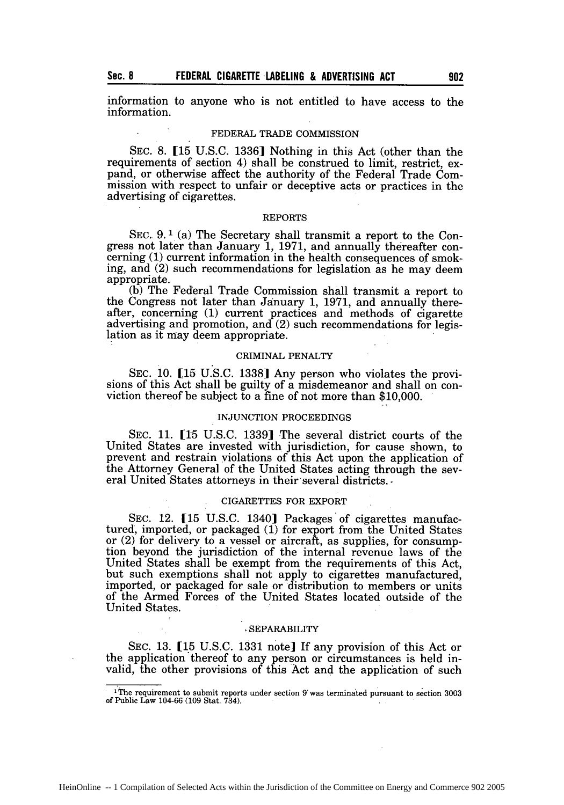information to anyone who is not entitled to have access to the information.

#### FEDERAL TRADE COMMISSION

SEC. 8. **[15** U.S.C. 1336] Nothing in this Act (other than the requirements of section 4) shall be construed to limit, restrict, expand, or otherwise affect the authority of the Federal Trade Commission with respect to unfair or deceptive acts or practices in the advertising of cigarettes.

#### REPORTS

SEC.. **9.1** (a) The Secretary shall transmit a report to the Congress not later than January 1, 1971, and annually thereafter concerning (1) current information in the health consequences of smoking, and (2) such recommendations for legislation as he may deem appropriate.

(b) The Federal Trade Commission shall transmit a report to the Congress not later than January 1, 1971, and annually there-<br>after, concerning (1) current practices and methods of cigarette advertising and promotion, and  $(2)$  such recommendations for legis-<br>lation as it may deem appropriate.

#### CRIMINAL PENALTY

SEC. **10. [15** U.S.C. 1338] Any person who violates the provisions of this Act shall be guilty of a misdemeanor and shall on conviction thereof be subject to a fine of not more than \$10,000.

#### INJUNCTION PROCEEDINGS

SEC. 11. [15 U.S.C. 1339] The several district courts of the United States are invested with jurisdiction, for cause shown, to prevent and restrain violations of this Act upon the application of the Attorney General of the United States acting through the several United States attorneys in their several districts. **-**

#### CIGARETTES FOR EXPORT

SEC. 12. **[15** U.S.C. 1340] Packages of cigarettes manufactured, imported, or packaged (1) for export from the United States or (2) for delivery to a vessel or aircraft, as supplies, for consumption beyond the jurisdiction of the internal revenue laws of the United States shall be exempt from the requirements of this Act, but such exemptions shall not apply to cigarettes manufactured, imported, or packaged for sale or distribution to members or units of the Armed Forces of the United States located outside of the United States.

#### SEPARABILITY

SEC. 13. [15 U.S.C. 1331 note] If any provision of this Act or the application'thereof to any person or circumstances is held invalid, the other provisions of this Act and the application of such

**Sec. 8**

I<sub>The requirement</sub> to submit reports under section 9 was terminated pursuant to section 3003 of Public Law 104-66 (109 Stat. 734).